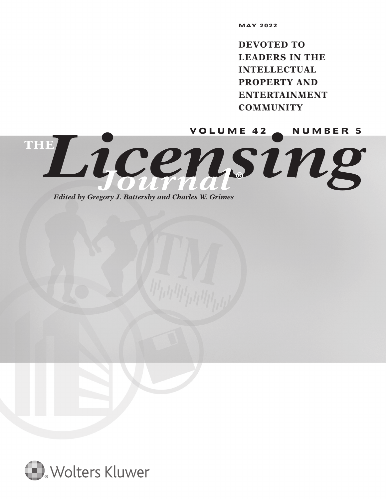**DEVOTED TO LEADERS IN THE INTELLECTUAL PROPERTY AND ENTERTAINMENT COMMUNITY**

Licensin<sup>we 42</sup> c NUMBER 5 **THE** *Journal* **®**

*Edited by Gregory J. Battersby and Charles W. Grimes*

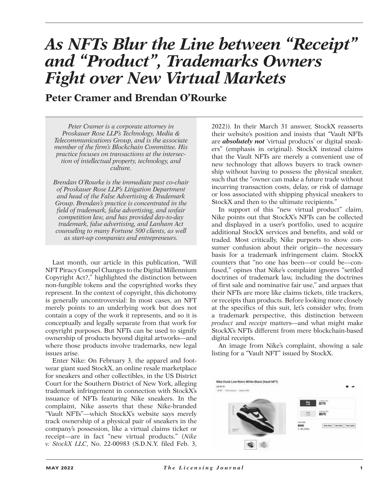# *As NFTs Blur the Line between "Receipt" and "Product", Trademarks Owners Fight over New Virtual Markets*

**Peter Cramer and Brendan O'Rourke**

*Peter Cramer is a corporate attorney in Proskauer Rose LLP's Technology, Media & Telecommunications Group, and is the associate member of the firm's Blockchain Committee. His practice focuses on transactions at the intersection of intellectual property, technology, and culture.*

*Brendan O'Rourke is the immediate past co-chair of Proskauer Rose LLP's Litigation Department and head of the False Advertising & Trademark Group. Brendan's practice is concentrated in the field of trademark, false advertising, and unfair competition law, and has provided day-to-day trademark, false advertising, and Lanham Act counseling to many Fortune 500 clients, as well as start-up companies and entrepreneurs.*

Last month, our article in this publication, "Will NFT Piracy Compel Changes to the Digital Millennium Copyright Act?," highlighted the distinction between non-fungible tokens and the copyrighted works they represent. In the context of copyright, this dichotomy is generally uncontroversial: In most cases, an NFT merely points to an underlying work but does not contain a copy of the work it represents, and so it is conceptually and legally separate from that work for copyright purposes. But NFTs can be used to signify ownership of products beyond digital artworks—and where those products involve trademarks, new legal issues arise.

Enter Nike: On February 3, the apparel and footwear giant sued StockX, an online resale marketplace for sneakers and other collectibles, in the US District Court for the Southern District of New York, alleging trademark infringement in connection with StockX's issuance of NFTs featuring Nike sneakers. In the complaint, Nike asserts that these Nike-branded "Vault NFTs"—which StockX's website says merely track ownership of a physical pair of sneakers in the company's possession, like a virtual claims ticket or receipt—are in fact "new virtual products." (*Nike v. StockX LLC*, No. 22-00983 (S.D.N.Y. filed Feb. 3,

2022)). In their March 31 answer, StockX reasserts their website's position and insists that "Vault NFTs are *absolutely not* 'virtual products' or digital sneakers" (emphasis in original). StockX instead claims that the Vault NFTs are merely a convenient use of new technology that allows buyers to track ownership without having to possess the physical sneaker, such that the "owner can make a future trade without incurring transaction costs, delay, or risk of damage or loss associated with shipping physical sneakers to StockX and then to the ultimate recipients."

In support of this "new virtual product" claim, Nike points out that StockX's NFTs can be collected and displayed in a user's portfolio, used to acquire additional StockX services and benefits, and sold or traded. Most critically, Nike purports to show consumer confusion about their origin—the necessary basis for a trademark infringement claim. StockX counters that "no one has been—or could be—confused," opines that Nike's complaint ignores "settled doctrines of trademark law, including the doctrines of first sale and nominative fair use," and argues that their NFTs are more like claims tickets, title trackers, or receipts than products. Before looking more closely at the specifics of this suit, let's consider why, from a trademark perspective, this distinction between *product* and *receipt* matters—and what might make StockX's NFTs different from mere blockchain-based digital receipts.

An image from Nike's complaint, showing a sale listing for a "Vault NFT" issued by StockX.

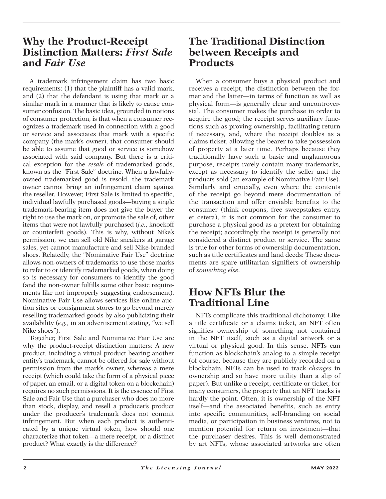# **Why the Product-Receipt Distinction Matters:** *First Sale* **and** *Fair Use*

A trademark infringement claim has two basic requirements: (1) that the plaintiff has a valid mark, and (2) that the defendant is using that mark or a similar mark in a manner that is likely to cause consumer confusion. The basic idea, grounded in notions of consumer protection, is that when a consumer recognizes a trademark used in connection with a good or service and associates that mark with a specific company (the mark's owner), that consumer should be able to assume that good or service is somehow associated with said company. But there is a critical exception for the *resale* of trademarked goods, known as the "First Sale" doctrine. When a lawfullyowned trademarked good is resold, the trademark owner cannot bring an infringement claim against the reseller. However, First Sale is limited to specific, individual lawfully purchased goods—buying a single trademark-bearing item does not give the buyer the right to use the mark on, or promote the sale of, other items that were not lawfully purchased (*i.e.*, knockoff or counterfeit goods). This is why, without Nike's permission, we can sell old Nike sneakers at garage sales, yet cannot manufacture and sell Nike-branded shoes. Relatedly, the "Nominative Fair Use" doctrine allows non-owners of trademarks to use those marks to refer to or identify trademarked goods, when doing so is necessary for consumers to identify the good (and the non-owner fulfills some other basic requirements like not improperly suggesting endorsement). Nominative Fair Use allows services like online auction sites or consignment stores to go beyond merely reselling trademarked goods by also publicizing their availability (*e.g.*, in an advertisement stating, "we sell Nike shoes").

Together, First Sale and Nominative Fair Use are why the product-receipt distinction matters: A new product, including a virtual product bearing another entity's trademark, cannot be offered for sale without permission from the mark's owner, whereas a mere receipt (which could take the form of a physical piece of paper, an email, or a digital token on a blockchain) requires no such permissions. It is the essence of First Sale and Fair Use that a purchaser who does no more than stock, display, and resell a producer's product under the producer's trademark does not commit infringement. But when each product is authenticated by a unique virtual token, how should one characterize that token—a mere receipt, or a distinct product? What exactly is the difference?1

# **The Traditional Distinction between Receipts and Products**

When a consumer buys a physical product and receives a receipt, the distinction between the former and the latter—in terms of function as well as physical form—is generally clear and uncontroversial. The consumer makes the purchase in order to acquire the good; the receipt serves auxiliary functions such as proving ownership, facilitating return if necessary, and, where the receipt doubles as a claims ticket, allowing the bearer to take possession of property at a later time. Perhaps because they traditionally have such a basic and unglamorous purpose, receipts rarely contain many trademarks, except as necessary to identify the seller and the products sold (an example of Nominative Fair Use). Similarly and crucially, even where the contents of the receipt go beyond mere documentation of the transaction and offer enviable benefits to the consumer (think coupons, free sweepstakes entry, et cetera), it is not common for the consumer to purchase a physical good as a pretext for obtaining the receipt; accordingly the receipt is generally not considered a distinct product or service. The same is true for other forms of ownership documentation, such as title certificates and land deeds: These documents are spare utilitarian signifiers of ownership of *something else*.

# **How NFTs Blur the Traditional Line**

NFTs complicate this traditional dichotomy. Like a title certificate or a claims ticket, an NFT often signifies ownership of something not contained in the NFT itself, such as a digital artwork or a virtual or physical good. In this sense, NFTs can function as blockchain's analog to a simple receipt (of course, because they are publicly recorded on a blockchain, NFTs can be used to track *changes* in ownership and so have more utility than a slip of paper). But unlike a receipt, certificate or ticket, for many consumers, the property that an NFT tracks is hardly the point. Often, it is ownership of the NFT itself—and the associated benefits, such as entry into specific communities, self-branding on social media, or participation in business ventures, not to mention potential for return on investment—that the purchaser desires. This is well demonstrated by art NFTs, whose associated artworks are often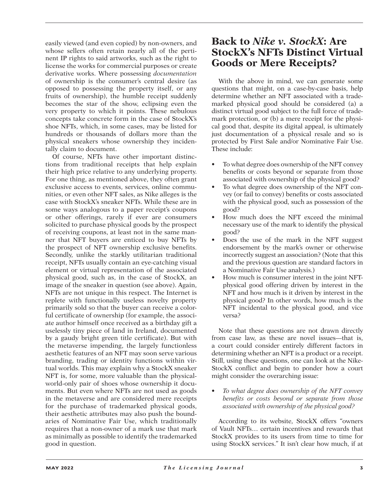easily viewed (and even copied) by non-owners, and whose sellers often retain nearly all of the pertinent IP rights to said artworks, such as the right to license the works for commercial purposes or create derivative works. Where possessing *documentation* of ownership is the consumer's central desire (as opposed to possessing the property itself, or any fruits of ownership), the humble receipt suddenly becomes the star of the show, eclipsing even the very property to which it points. These nebulous concepts take concrete form in the case of StockX's shoe NFTs, which, in some cases, may be listed for hundreds or thousands of dollars more than the physical sneakers whose ownership they incidentally claim to document.

Of course, NFTs have other important distinctions from traditional receipts that help explain their high price relative to any underlying property. For one thing, as mentioned above, they often grant exclusive access to events, services, online communities, or even other NFT sales, as Nike alleges is the case with StockX's sneaker NFTs. While these are in some ways analogous to a paper receipt's coupons or other offerings, rarely if ever are consumers solicited to purchase physical goods by the prospect of receiving coupons, at least not in the same manner that NFT buyers are enticed to buy NFTs by the prospect of NFT ownership exclusive benefits. Secondly, unlike the starkly utilitarian traditional receipt, NFTs usually contain an eye-catching visual element or virtual representation of the associated physical good, such as, in the case of StockX, an image of the sneaker in question (see above). Again, NFTs are not unique in this respect. The Internet is replete with functionally useless novelty property primarily sold so that the buyer can receive a colorful certificate of ownership (for example, the associate author himself once received as a birthday gift a uselessly tiny piece of land in Ireland, documented by a gaudy bright green title certificate). But with the metaverse impending, the largely functionless aesthetic features of an NFT may soon serve various branding, trading or identity functions within virtual worlds. This may explain why a StockX sneaker NFT is, for some, more valuable than the physicalworld-only pair of shoes whose ownership it documents. But even where NFTs are not used as goods in the metaverse and are considered mere receipts for the purchase of trademarked physical goods, their aesthetic attributes may also push the boundaries of Nominative Fair Use, which traditionally requires that a non-owner of a mark use that mark as minimally as possible to identify the trademarked good in question.

### **Back to** *Nike v. StockX***: Are StockX's NFTs Distinct Virtual Goods or Mere Receipts?**

With the above in mind, we can generate some questions that might, on a case-by-case basis, help determine whether an NFT associated with a trademarked physical good should be considered (a) a distinct virtual good subject to the full force of trademark protection, or (b) a mere receipt for the physical good that, despite its digital appeal, is ultimately just documentation of a physical resale and so is protected by First Sale and/or Nominative Fair Use. These include:

- To what degree does ownership of the NFT convey benefits or costs beyond or separate from those associated with ownership of the physical good?
- To what degree does ownership of the NFT convey (or fail to convey) benefits or costs associated with the physical good, such as possession of the good?
- How much does the NFT exceed the minimal necessary use of the mark to identify the physical good?
- Does the use of the mark in the NFT suggest endorsement by the mark's owner or otherwise incorrectly suggest an association? (Note that this and the previous question are standard factors in a Nominative Fair Use analysis.)
- How much is consumer interest in the joint NFTphysical good offering driven by interest in the NFT and how much is it driven by interest in the physical good? In other words, how much is the NFT incidental to the physical good, and vice versa?

Note that these questions are not drawn directly from case law, as these are novel issues—that is, a court could consider entirely different factors in determining whether an NFT is a product or a receipt. Still, using these questions, one can look at the Nike-StockX conflict and begin to ponder how a court might consider the overarching issue:

• *To what degree does ownership of the NFT convey benefits or costs beyond or separate from those associated with ownership of the physical good?*

According to its website, StockX offers "owners of Vault NFTs… certain incentives and rewards that StockX provides to its users from time to time for using StockX services." It isn't clear how much, if at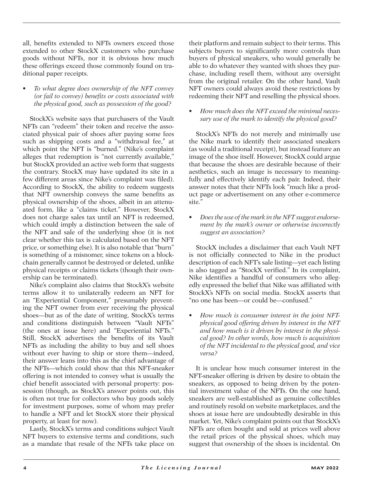all, benefits extended to NFTs owners exceed those extended to other StockX customers who purchase goods without NFTs, nor it is obvious how much these offerings exceed those commonly found on traditional paper receipts.

• *To what degree does ownership of the NFT convey (or fail to convey) benefits or costs associated with the physical good, such as possession of the good?*

StockX's website says that purchasers of the Vault NFTs can "redeem" their token and receive the associated physical pair of shoes after paying some fees such as shipping costs and a "withdrawal fee," at which point the NFT is "burned." (Nike's complaint alleges that redemption is "not currently available," but StockX provided an active web form that suggests the contrary. StockX may have updated its site in a few different areas since Nike's complaint was filed). According to StockX, the ability to redeem suggests that NFT ownership conveys the same benefits as physical ownership of the shoes, albeit in an attenuated form, like a "claims ticket." However, StockX does not charge sales tax until an NFT is redeemed, which could imply a distinction between the sale of the NFT and sale of the underlying shoe (it is not clear whether this tax is calculated based on the NFT price, or something else). It is also notable that "burn" is something of a misnomer, since tokens on a blockchain generally cannot be destroyed or deleted, unlike physical receipts or claims tickets (though their ownership can be terminated).

Nike's complaint also claims that StockX's website terms allow it to unilaterally redeem an NFT for an "Experiential Component," presumably preventing the NFT owner from ever receiving the physical shoes—but as of the date of writing, StockX's terms and conditions distinguish between "Vault NFTs" (the ones at issue here) and "Experiential NFTs." Still, StockX advertises the benefits of its Vault NFTs as including the ability to buy and sell shoes without ever having to ship or store them—indeed, their answer leans into this as the chief advantage of the NFTs—which could show that this NFT-sneaker offering is not intended to convey what is usually the chief benefit associated with personal property: possession (though, as StockX's answer points out, this is often not true for collectors who buy goods solely for investment purposes, some of whom may prefer to handle a NFT and let StockX store their physical property, at least for now).

Lastly, StockX's terms and conditions subject Vault NFT buyers to extensive terms and conditions, such as a mandate that resale of the NFTs take place on

their platform and remain subject to their terms. This subjects buyers to significantly more controls than buyers of physical sneakers, who would generally be able to do whatever they wanted with shoes they purchase, including resell them, without any oversight from the original retailer. On the other hand, Vault NFT owners could always avoid these restrictions by redeeming their NFT and reselling the physical shoes.

• *How much does the NFT exceed the minimal necessary use of the mark to identify the physical good?*

StockX's NFTs do not merely and minimally use the Nike mark to identify their associated sneakers (as would a traditional receipt), but instead feature an image of the shoe itself. However, StockX could argue that because the shoes are desirable because of their aesthetics, such an image is necessary to meaningfully and effectively identify each pair. Indeed, their answer notes that their NFTs look "much like a product page or advertisement on any other e-commerce site."

• *Does the use of the mark in the NFT suggest endorsement by the mark's owner or otherwise incorrectly suggest an association?*

StockX includes a disclaimer that each Vault NFT is not officially connected to Nike in the product description of each NFT's sale listing—yet each listing is also tagged as "StockX verified." In its complaint, Nike identifies a handful of consumers who allegedly expressed the belief that Nike was affiliated with StockX's NFTs on social media. StockX asserts that "no one has been—or could be—confused."

• *How much is consumer interest in the joint NFTphysical good offering driven by interest in the NFT and how much is it driven by interest in the physical good? In other words, how much is acquisition of the NFT incidental to the physical good, and vice versa?*

It is unclear how much consumer interest in the NFT-sneaker offering is driven by desire to obtain the sneakers, as opposed to being driven by the potential investment value of the NFTs. On the one hand, sneakers are well-established as genuine collectibles and routinely resold on website marketplaces, and the shoes at issue here are undoubtedly desirable in this market. Yet, Nike's complaint points out that StockX's NFTs are often bought and sold at prices well above the retail prices of the physical shoes, which may suggest that ownership of the shoes is incidental. On